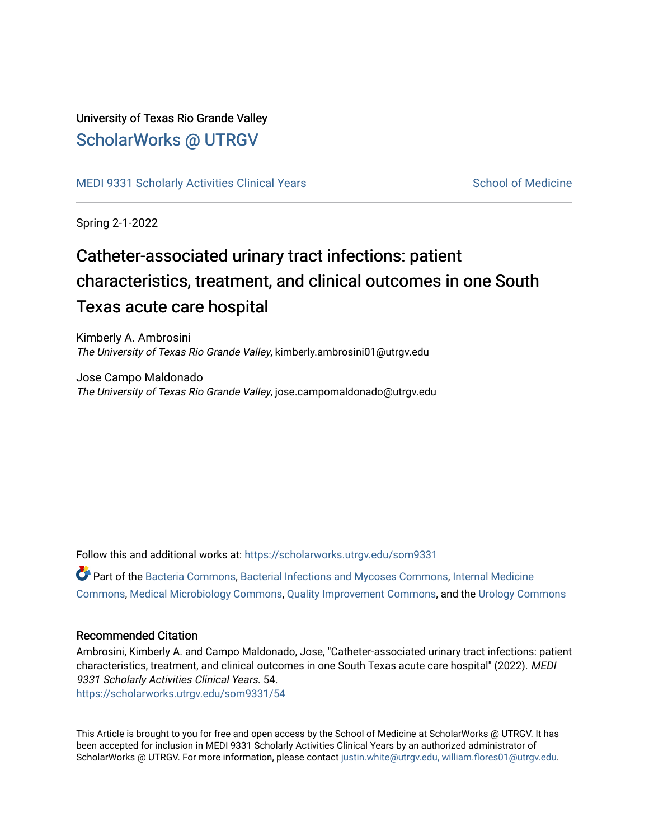#### University of Texas Rio Grande Valley [ScholarWorks @ UTRGV](https://scholarworks.utrgv.edu/)

[MEDI 9331 Scholarly Activities Clinical Years](https://scholarworks.utrgv.edu/som9331) [School of Medicine](https://scholarworks.utrgv.edu/som) School of Medicine

Spring 2-1-2022

#### Catheter-associated urinary tract infections: patient characteristics, treatment, and clinical outcomes in one South Texas acute care hospital

Kimberly A. Ambrosini The University of Texas Rio Grande Valley, kimberly.ambrosini01@utrgv.edu

Jose Campo Maldonado The University of Texas Rio Grande Valley, jose.campomaldonado@utrgv.edu

Follow this and additional works at: [https://scholarworks.utrgv.edu/som9331](https://scholarworks.utrgv.edu/som9331?utm_source=scholarworks.utrgv.edu%2Fsom9331%2F54&utm_medium=PDF&utm_campaign=PDFCoverPages) 

Part of the [Bacteria Commons,](http://network.bepress.com/hgg/discipline/985?utm_source=scholarworks.utrgv.edu%2Fsom9331%2F54&utm_medium=PDF&utm_campaign=PDFCoverPages) [Bacterial Infections and Mycoses Commons,](http://network.bepress.com/hgg/discipline/966?utm_source=scholarworks.utrgv.edu%2Fsom9331%2F54&utm_medium=PDF&utm_campaign=PDFCoverPages) [Internal Medicine](http://network.bepress.com/hgg/discipline/1356?utm_source=scholarworks.utrgv.edu%2Fsom9331%2F54&utm_medium=PDF&utm_campaign=PDFCoverPages)  [Commons](http://network.bepress.com/hgg/discipline/1356?utm_source=scholarworks.utrgv.edu%2Fsom9331%2F54&utm_medium=PDF&utm_campaign=PDFCoverPages), [Medical Microbiology Commons](http://network.bepress.com/hgg/discipline/672?utm_source=scholarworks.utrgv.edu%2Fsom9331%2F54&utm_medium=PDF&utm_campaign=PDFCoverPages), [Quality Improvement Commons,](http://network.bepress.com/hgg/discipline/1430?utm_source=scholarworks.utrgv.edu%2Fsom9331%2F54&utm_medium=PDF&utm_campaign=PDFCoverPages) and the [Urology Commons](http://network.bepress.com/hgg/discipline/707?utm_source=scholarworks.utrgv.edu%2Fsom9331%2F54&utm_medium=PDF&utm_campaign=PDFCoverPages)

#### Recommended Citation

Ambrosini, Kimberly A. and Campo Maldonado, Jose, "Catheter-associated urinary tract infections: patient characteristics, treatment, and clinical outcomes in one South Texas acute care hospital" (2022). MEDI 9331 Scholarly Activities Clinical Years. 54. [https://scholarworks.utrgv.edu/som9331/54](https://scholarworks.utrgv.edu/som9331/54?utm_source=scholarworks.utrgv.edu%2Fsom9331%2F54&utm_medium=PDF&utm_campaign=PDFCoverPages)

This Article is brought to you for free and open access by the School of Medicine at ScholarWorks @ UTRGV. It has been accepted for inclusion in MEDI 9331 Scholarly Activities Clinical Years by an authorized administrator of ScholarWorks @ UTRGV. For more information, please contact [justin.white@utrgv.edu, william.flores01@utrgv.edu](mailto:justin.white@utrgv.edu,%20william.flores01@utrgv.edu).